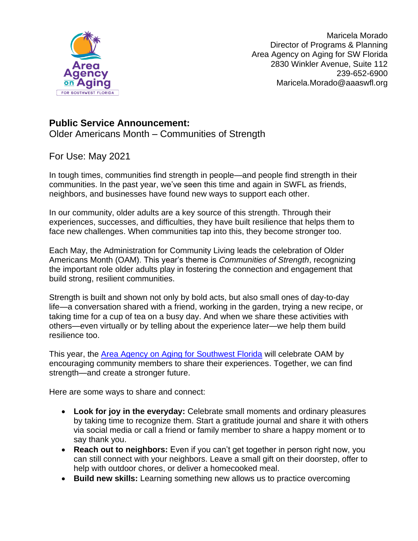

Maricela Morado Director of Programs & Planning Area Agency on Aging for SW Florida 2830 Winkler Avenue, Suite 112 239-652-6900 Maricela.Morado@aaaswfl.org

## **Public Service Announcement:**

Older Americans Month – Communities of Strength

## For Use: May 2021

In tough times, communities find strength in people—and people find strength in their communities. In the past year, we've seen this time and again in SWFL as friends, neighbors, and businesses have found new ways to support each other.

In our community, older adults are a key source of this strength. Through their experiences, successes, and difficulties, they have built resilience that helps them to face new challenges. When communities tap into this, they become stronger too.

Each May, the Administration for Community Living leads the celebration of Older Americans Month (OAM). This year's theme is *Communities of Strength*, recognizing the important role older adults play in fostering the connection and engagement that build strong, resilient communities.

Strength is built and shown not only by bold acts, but also small ones of day-to-day life—a conversation shared with a friend, working in the garden, trying a new recipe, or taking time for a cup of tea on a busy day. And when we share these activities with others—even virtually or by telling about the experience later—we help them build resilience too.

This year, the [Area Agency on Aging for Southwest Florida](https://aaaswfl.org/) will celebrate OAM by encouraging community members to share their experiences. Together, we can find strength—and create a stronger future.

Here are some ways to share and connect:

- **Look for joy in the everyday:** Celebrate small moments and ordinary pleasures by taking time to recognize them. Start a gratitude journal and share it with others via social media or call a friend or family member to share a happy moment or to say thank you.
- **Reach out to neighbors:** Even if you can't get together in person right now, you can still connect with your neighbors. Leave a small gift on their doorstep, offer to help with outdoor chores, or deliver a homecooked meal.
- **Build new skills:** Learning something new allows us to practice overcoming